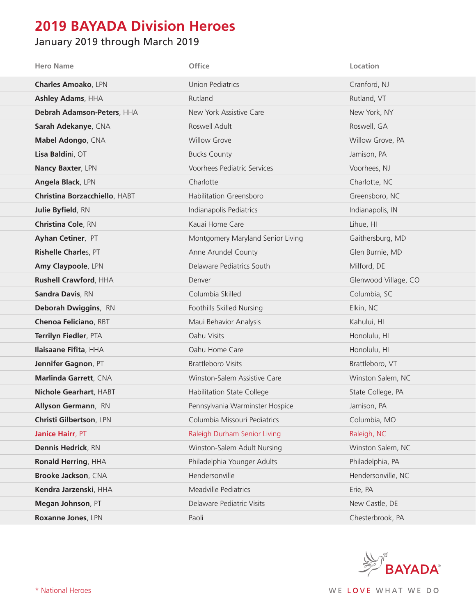## **2019 BAYADA Division Heroes**

## January 2019 through March 2019

| <b>Hero Name</b>              | Office                            | Location             |
|-------------------------------|-----------------------------------|----------------------|
| <b>Charles Amoako, LPN</b>    | <b>Union Pediatrics</b>           | Cranford, NJ         |
| <b>Ashley Adams, HHA</b>      | Rutland                           | Rutland, VT          |
| Debrah Adamson-Peters, HHA    | New York Assistive Care           | New York, NY         |
| Sarah Adekanye, CNA           | Roswell Adult                     | Roswell, GA          |
| Mabel Adongo, CNA             | <b>Willow Grove</b>               | Willow Grove, PA     |
| Lisa Baldini, OT              | <b>Bucks County</b>               | Jamison, PA          |
| Nancy Baxter, LPN             | Voorhees Pediatric Services       | Voorhees, NJ         |
| Angela Black, LPN             | Charlotte                         | Charlotte, NC        |
| Christina Borzacchiello, HABT | <b>Habilitation Greensboro</b>    | Greensboro, NC       |
| Julie Byfield, RN             | Indianapolis Pediatrics           | Indianapolis, IN     |
| <b>Christina Cole, RN</b>     | Kauai Home Care                   | Lihue, HI            |
| Ayhan Cetiner, PT             | Montgomery Maryland Senior Living | Gaithersburg, MD     |
| Rishelle Charles, PT          | Anne Arundel County               | Glen Burnie, MD      |
| Amy Claypoole, LPN            | Delaware Pediatrics South         | Milford, DE          |
| Rushell Crawford, HHA         | Denver                            | Glenwood Village, CO |
| <b>Sandra Davis, RN</b>       | Columbia Skilled                  | Columbia, SC         |
| Deborah Dwiggins, RN          | Foothills Skilled Nursing         | Elkin, NC            |
| <b>Chenoa Feliciano, RBT</b>  | Maui Behavior Analysis            | Kahului, HI          |
| Terrilyn Fiedler, PTA         | Oahu Visits                       | Honolulu, HI         |
| Ilaisaane Fifita, HHA         | Oahu Home Care                    | Honolulu, HI         |
| Jennifer Gagnon, PT           | <b>Brattleboro Visits</b>         | Brattleboro, VT      |
| Marlinda Garrett, CNA         | Winston-Salem Assistive Care      | Winston Salem, NC    |
| Nichole Gearhart, HABT        | Habilitation State College        | State College, PA    |
| Allyson Germann, RN           | Pennsylvania Warminster Hospice   | Jamison, PA          |
| Christi Gilbertson, LPN       | Columbia Missouri Pediatrics      | Columbia, MO         |
| Janice Hairr, PT              | Raleigh Durham Senior Living      | Raleigh, NC          |
| <b>Dennis Hedrick, RN</b>     | Winston-Salem Adult Nursing       | Winston Salem, NC    |
| Ronald Herring, HHA           | Philadelphia Younger Adults       | Philadelphia, PA     |
| Brooke Jackson, CNA           | Hendersonville                    | Hendersonville, NC   |
| Kendra Jarzenski, HHA         | Meadville Pediatrics              | Erie, PA             |
| Megan Johnson, PT             | Delaware Pediatric Visits         | New Castle, DE       |
| Roxanne Jones, LPN            | Paoli                             | Chesterbrook, PA     |

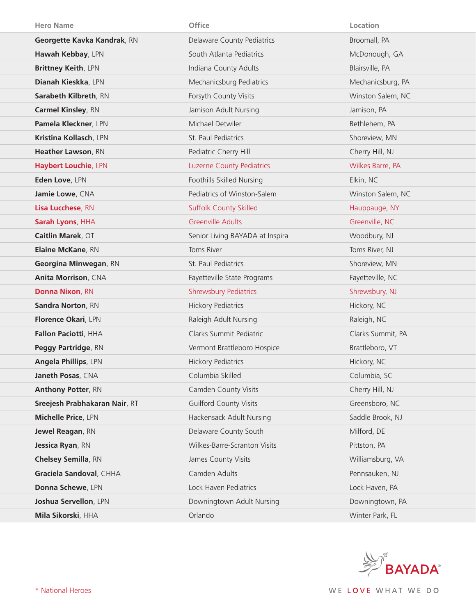| <b>Hero Name</b>              | Office                           | Location          |
|-------------------------------|----------------------------------|-------------------|
| Georgette Kavka Kandrak, RN   | Delaware County Pediatrics       | Broomall, PA      |
| Hawah Kebbay, LPN             | South Atlanta Pediatrics         | McDonough, GA     |
| Brittney Keith, LPN           | Indiana County Adults            | Blairsville, PA   |
| Dianah Kieskka, LPN           | Mechanicsburg Pediatrics         | Mechanicsburg, PA |
| Sarabeth Kilbreth, RN         | Forsyth County Visits            | Winston Salem, NC |
| <b>Carmel Kinsley, RN</b>     | Jamison Adult Nursing            | Jamison, PA       |
| Pamela Kleckner, LPN          | Michael Detwiler                 | Bethlehem, PA     |
| Kristina Kollasch, LPN        | St. Paul Pediatrics              | Shoreview, MN     |
| Heather Lawson, RN            | Pediatric Cherry Hill            | Cherry Hill, NJ   |
| <b>Haybert Louchie, LPN</b>   | <b>Luzerne County Pediatrics</b> | Wilkes Barre, PA  |
| Eden Love, LPN                | Foothills Skilled Nursing        | Elkin, NC         |
| Jamie Lowe, CNA               | Pediatrics of Winston-Salem      | Winston Salem, NC |
| Lisa Lucchese, RN             | <b>Suffolk County Skilled</b>    | Hauppauge, NY     |
| Sarah Lyons, HHA              | <b>Greenville Adults</b>         | Greenville, NC    |
| Caitlin Marek, OT             | Senior Living BAYADA at Inspira  | Woodbury, NJ      |
| Elaine McKane, RN             | Toms River                       | Toms River, NJ    |
| Georgina Minwegan, RN         | St. Paul Pediatrics              | Shoreview, MN     |
|                               |                                  |                   |
| <b>Anita Morrison, CNA</b>    | Fayetteville State Programs      | Fayetteville, NC  |
| <b>Donna Nixon, RN</b>        | <b>Shrewsbury Pediatrics</b>     | Shrewsbury, NJ    |
| Sandra Norton, RN             | <b>Hickory Pediatrics</b>        | Hickory, NC       |
| Florence Okari, LPN           | Raleigh Adult Nursing            | Raleigh, NC       |
| Fallon Paciotti, HHA          | Clarks Summit Pediatric          | Clarks Summit, PA |
| Peggy Partridge, RN           | Vermont Brattleboro Hospice      | Brattleboro, VT   |
| Angela Phillips, LPN          | <b>Hickory Pediatrics</b>        | Hickory, NC       |
| Janeth Posas, CNA             | Columbia Skilled                 | Columbia, SC      |
| <b>Anthony Potter, RN</b>     | Camden County Visits             | Cherry Hill, NJ   |
| Sreejesh Prabhakaran Nair, RT | <b>Guilford County Visits</b>    | Greensboro, NC    |
| Michelle Price, LPN           | Hackensack Adult Nursing         | Saddle Brook, NJ  |
| Jewel Reagan, RN              | Delaware County South            | Milford, DE       |
| Jessica Ryan, RN              | Wilkes-Barre-Scranton Visits     | Pittston, PA      |
| <b>Chelsey Semilla, RN</b>    | James County Visits              | Williamsburg, VA  |
| Graciela Sandoval, CHHA       | Camden Adults                    | Pennsauken, NJ    |
| Donna Schewe, LPN             | Lock Haven Pediatrics            | Lock Haven, PA    |
| Joshua Servellon, LPN         | Downingtown Adult Nursing        | Downingtown, PA   |